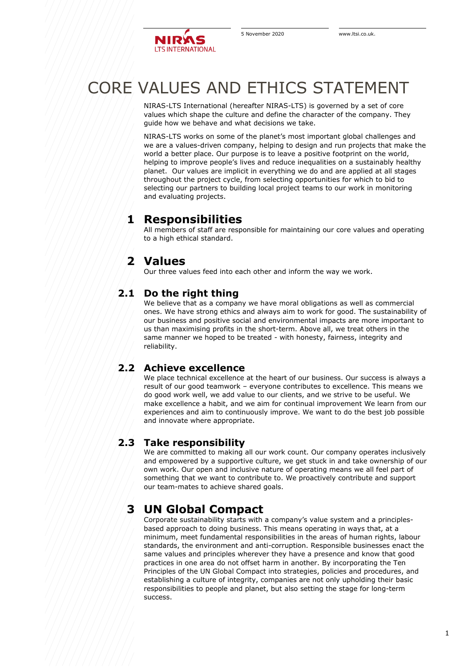

# CORE VALUES AND ETHICS STATEMENT

NIRAS-LTS International (hereafter NIRAS-LTS) is governed by a set of core values which shape the culture and define the character of the company. They guide how we behave and what decisions we take.

NIRAS-LTS works on some of the planet's most important global challenges and we are a values-driven company, helping to design and run projects that make the world a better place. Our purpose is to leave a positive footprint on the world, helping to improve people's lives and reduce inequalities on a sustainably healthy planet. Our values are implicit in everything we do and are applied at all stages throughout the project cycle, from selecting opportunities for which to bid to selecting our partners to building local project teams to our work in monitoring and evaluating projects.

## **1 Responsibilities**

All members of staff are responsible for maintaining our core values and operating to a high ethical standard.

# **2 Values**

Our three values feed into each other and inform the way we work.

### **2.1 Do the right thing**

We believe that as a company we have moral obligations as well as commercial ones. We have strong ethics and always aim to work for good. The sustainability of our business and positive social and environmental impacts are more important to us than maximising profits in the short-term. Above all, we treat others in the same manner we hoped to be treated - with honesty, fairness, integrity and reliability.

### **2.2 Achieve excellence**

We place technical excellence at the heart of our business. Our success is always a result of our good teamwork – everyone contributes to excellence. This means we do good work well, we add value to our clients, and we strive to be useful. We make excellence a habit, and we aim for continual improvement We learn from our experiences and aim to continuously improve. We want to do the best job possible and innovate where appropriate.

### **2.3 Take responsibility**

We are committed to making all our work count. Our company operates inclusively and empowered by a supportive culture, we get stuck in and take ownership of our own work. Our open and inclusive nature of operating means we all feel part of something that we want to contribute to. We proactively contribute and support our team-mates to achieve shared goals.

# **3 UN Global Compact**

Corporate sustainability starts with a company's value system and a principlesbased approach to doing business. This means operating in ways that, at a minimum, meet fundamental responsibilities in the areas of human rights, labour standards, the environment and anti-corruption. Responsible businesses enact the same values and principles wherever they have a presence and know that good practices in one area do not offset harm in another. By incorporating the Ten Principles of the UN Global Compact into strategies, policies and procedures, and establishing a culture of integrity, companies are not only upholding their basic responsibilities to people and planet, but also setting the stage for long-term success.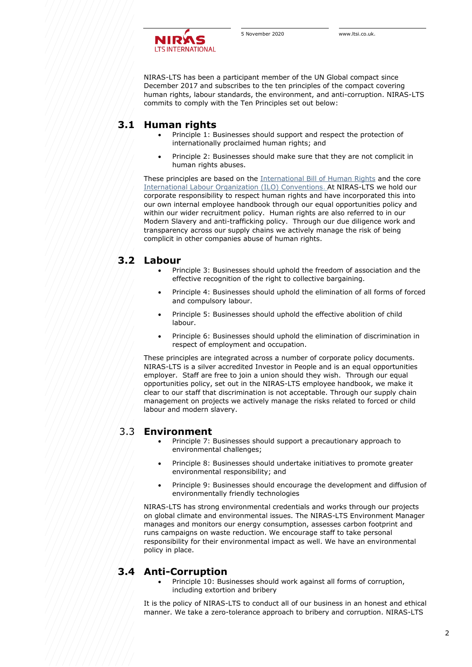

NIRAS-LTS has been a participant member of the UN Global compact since December 2017 and subscribes to the ten principles of the compact covering human rights, labour standards, the environment, and anti-corruption. NIRAS-LTS commits to comply with the Ten Principles set out below:

### **3.1 Human rights**

- Principle 1: Businesses should support and respect the protection of internationally proclaimed human rights; and
- Principle 2: Businesses should make sure that they are not complicit in human rights abuses.

These principles are based on the [International Bill of Human Rights](http://www.ohchr.org/Documents/Publications/FactSheet2Rev.1en.pdf) and the core [International Labour Organization \(ILO\) Conventions.](http://www.ilo.org/global/standards/introduction-to-international-labour-standards/conventions-and-recommendations/lang--en/index.htm) At NIRAS-LTS we hold our corporate responsibility to respect human rights and have incorporated this into our own internal employee handbook through our equal opportunities policy and within our wider recruitment policy. Human rights are also referred to in our Modern Slavery and anti-trafficking policy. Through our due diligence work and transparency across our supply chains we actively manage the risk of being complicit in other companies abuse of human rights.

#### **3.2 Labour**

- Principle 3: Businesses should uphold the freedom of association and the effective recognition of the right to collective bargaining.
- Principle 4: Businesses should uphold the elimination of all forms of forced and compulsory labour.
- Principle 5: Businesses should uphold the effective abolition of child labour.
- Principle 6: Businesses should uphold the elimination of discrimination in respect of employment and occupation.

These principles are integrated across a number of corporate policy documents. NIRAS-LTS is a silver accredited Investor in People and is an equal opportunities employer. Staff are free to join a union should they wish. Through our equal opportunities policy, set out in the NIRAS-LTS employee handbook, we make it clear to our staff that discrimination is not acceptable. Through our supply chain management on projects we actively manage the risks related to forced or child labour and modern slavery.

#### 3.3 **Environment**

- Principle 7: Businesses should support a precautionary approach to environmental challenges;
- Principle 8: Businesses should undertake initiatives to promote greater environmental responsibility; and
- Principle 9: Businesses should encourage the development and diffusion of environmentally friendly technologies

NIRAS-LTS has strong environmental credentials and works through our projects on global climate and environmental issues. The NIRAS-LTS Environment Manager manages and monitors our energy consumption, assesses carbon footprint and runs campaigns on waste reduction. We encourage staff to take personal responsibility for their environmental impact as well. We have an environmental policy in place.

### **3.4 Anti-Corruption**

• Principle 10: Businesses should work against all forms of corruption, including extortion and bribery

It is the policy of NIRAS-LTS to conduct all of our business in an honest and ethical manner. We take a zero-tolerance approach to bribery and corruption. NIRAS-LTS